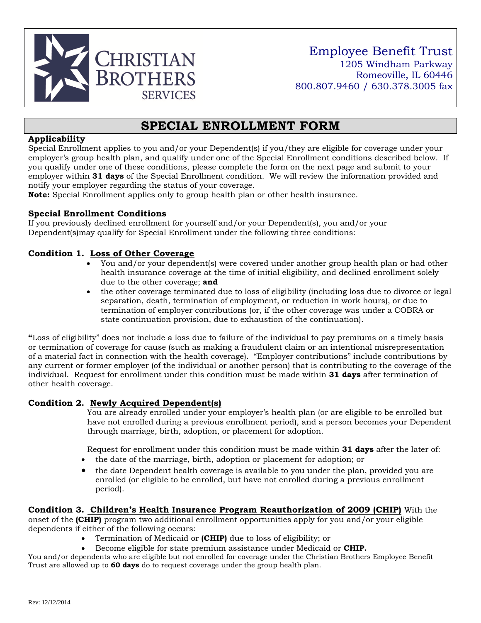

# **SPECIAL ENROLLMENT FORM**

### **Applicability**

Special Enrollment applies to you and/or your Dependent(s) if you/they are eligible for coverage under your employer's group health plan, and qualify under one of the Special Enrollment conditions described below. If you qualify under one of these conditions, please complete the form on the next page and submit to your employer within **31 days** of the Special Enrollment condition. We will review the information provided and notify your employer regarding the status of your coverage.

**Note:** Special Enrollment applies only to group health plan or other health insurance.

## **Special Enrollment Conditions**

If you previously declined enrollment for yourself and/or your Dependent(s), you and/or your Dependent(s)may qualify for Special Enrollment under the following three conditions:

# **Condition 1. Loss of Other Coverage**

- You and/or your dependent(s) were covered under another group health plan or had other health insurance coverage at the time of initial eligibility, and declined enrollment solely due to the other coverage; **and**
- the other coverage terminated due to loss of eligibility (including loss due to divorce or legal separation, death, termination of employment, or reduction in work hours), or due to termination of employer contributions (or, if the other coverage was under a COBRA or state continuation provision, due to exhaustion of the continuation).

**"**Loss of eligibility" does not include a loss due to failure of the individual to pay premiums on a timely basis or termination of coverage for cause (such as making a fraudulent claim or an intentional misrepresentation of a material fact in connection with the health coverage). "Employer contributions" include contributions by any current or former employer (of the individual or another person) that is contributing to the coverage of the individual. Request for enrollment under this condition must be made within **31 days** after termination of other health coverage.

## **Condition 2. Newly Acquired Dependent(s)**

You are already enrolled under your employer's health plan (or are eligible to be enrolled but have not enrolled during a previous enrollment period), and a person becomes your Dependent through marriage, birth, adoption, or placement for adoption.

Request for enrollment under this condition must be made within **31 days** after the later of:

- the date of the marriage, birth, adoption or placement for adoption; or
- the date Dependent health coverage is available to you under the plan, provided you are enrolled (or eligible to be enrolled, but have not enrolled during a previous enrollment period).

#### **Condition 3. Children's Health Insurance Program Reauthorization of 2009 (CHIP)** With the

onset of the **(CHIP)** program two additional enrollment opportunities apply for you and/or your eligible dependents if either of the following occurs:

- Termination of Medicaid or **(CHIP)** due to loss of eligibility; or
- Become eligible for state premium assistance under Medicaid or **CHIP.**

You and/or dependents who are eligible but not enrolled for coverage under the Christian Brothers Employee Benefit Trust are allowed up to **60 days** do to request coverage under the group health plan.